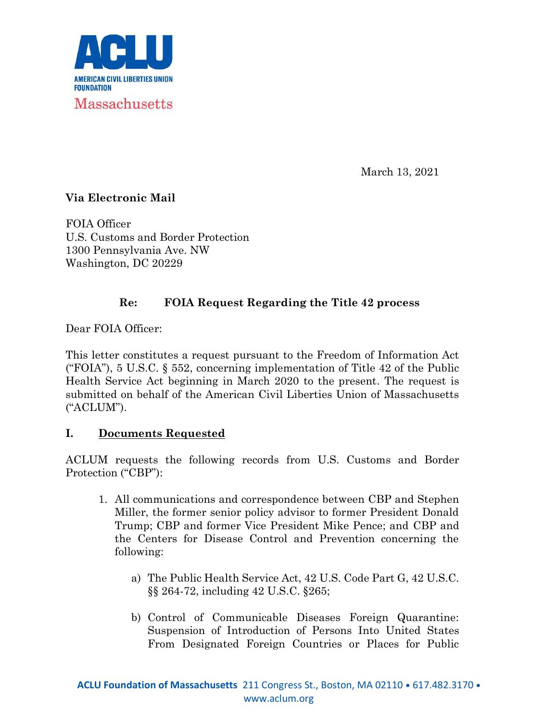

March 13, 2021

# **Via Electronic Mail**

FOIA Officer U.S. Customs and Border Protection 1300 Pennsylvania Ave. NW Washington, DC 20229

# **Re: FOIA Request Regarding the Title 42 process**

Dear FOIA Officer:

This letter constitutes a request pursuant to the Freedom of Information Act ("FOIA"), 5 U.S.C. § 552, concerning implementation of Title 42 of the Public Health Service Act beginning in March 2020 to the present. The request is submitted on behalf of the American Civil Liberties Union of Massachusetts ("ACLUM").

## **I. Documents Requested**

ACLUM requests the following records from U.S. Customs and Border Protection ("CBP"):

- 1. All communications and correspondence between CBP and Stephen Miller, the former senior policy advisor to former President Donald Trump; CBP and former Vice President Mike Pence; and CBP and the Centers for Disease Control and Prevention concerning the following:
	- a) The Public Health Service Act, 42 U.S. Code Part G, 42 U.S.C. §§ 264-72, including 42 U.S.C. §265;
	- b) Control of Communicable Diseases Foreign Quarantine: Suspension of Introduction of Persons Into United States From Designated Foreign Countries or Places for Public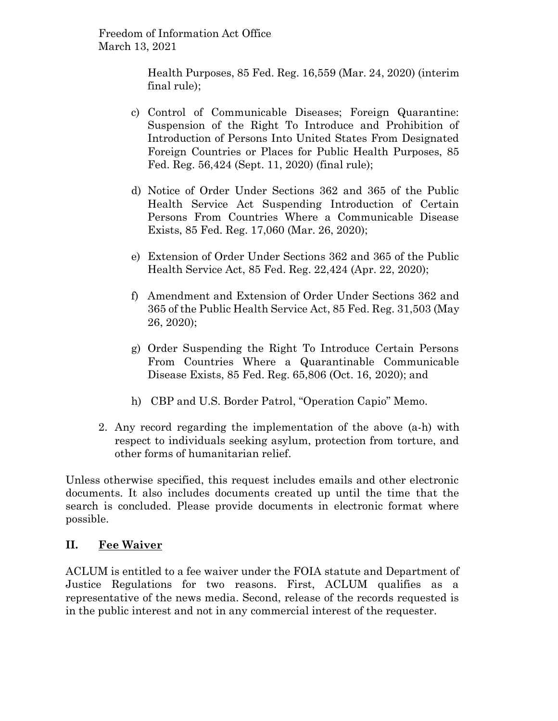> Health Purposes, 85 Fed. Reg. 16,559 (Mar. 24, 2020) (interim final rule);

- c) Control of Communicable Diseases; Foreign Quarantine: Suspension of the Right To Introduce and Prohibition of Introduction of Persons Into United States From Designated Foreign Countries or Places for Public Health Purposes, 85 Fed. Reg. 56,424 (Sept. 11, 2020) (final rule);
- d) Notice of Order Under Sections 362 and 365 of the Public Health Service Act Suspending Introduction of Certain Persons From Countries Where a Communicable Disease Exists, 85 Fed. Reg. 17,060 (Mar. 26, 2020);
- e) Extension of Order Under Sections 362 and 365 of the Public Health Service Act, 85 Fed. Reg. 22,424 (Apr. 22, 2020);
- f) Amendment and Extension of Order Under Sections 362 and 365 of the Public Health Service Act, 85 Fed. Reg. 31,503 (May 26, 2020);
- g) Order Suspending the Right To Introduce Certain Persons From Countries Where a Quarantinable Communicable Disease Exists, 85 Fed. Reg. 65,806 (Oct. 16, 2020); and
- h) CBP and U.S. Border Patrol, "Operation Capio" Memo.
- 2. Any record regarding the implementation of the above (a-h) with respect to individuals seeking asylum, protection from torture, and other forms of humanitarian relief.

Unless otherwise specified, this request includes emails and other electronic documents. It also includes documents created up until the time that the search is concluded. Please provide documents in electronic format where possible.

## **II. Fee Waiver**

ACLUM is entitled to a fee waiver under the FOIA statute and Department of Justice Regulations for two reasons. First, ACLUM qualifies as a representative of the news media. Second, release of the records requested is in the public interest and not in any commercial interest of the requester.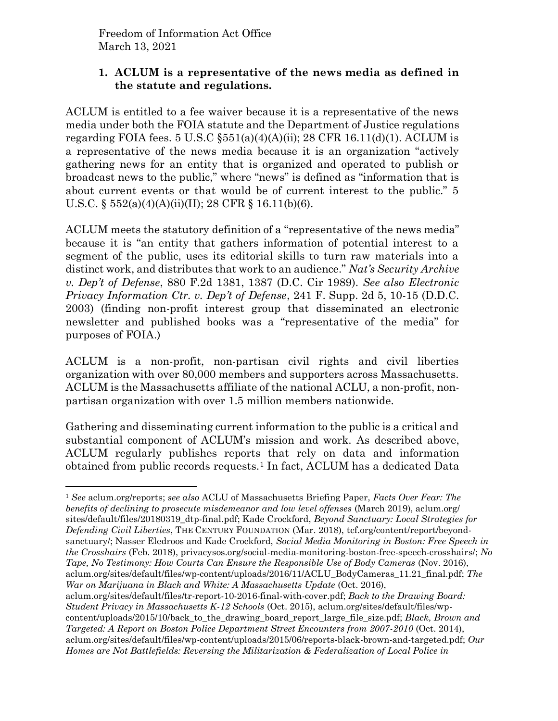### **1. ACLUM is a representative of the news media as defined in the statute and regulations.**

ACLUM is entitled to a fee waiver because it is a representative of the news media under both the FOIA statute and the Department of Justice regulations regarding FOIA fees. 5 U.S.C  $\S551(a)(4)(A)(ii)$ ; 28 CFR 16.11(d)(1). ACLUM is a representative of the news media because it is an organization "actively gathering news for an entity that is organized and operated to publish or broadcast news to the public," where "news" is defined as "information that is about current events or that would be of current interest to the public." 5 U.S.C. § 552(a)(4)(A)(ii)(II); 28 CFR § 16.11(b)(6).

ACLUM meets the statutory definition of a "representative of the news media" because it is "an entity that gathers information of potential interest to a segment of the public, uses its editorial skills to turn raw materials into a distinct work, and distributes that work to an audience." *Nat's Security Archive v. Dep't of Defense*, 880 F.2d 1381, 1387 (D.C. Cir 1989). *See also Electronic Privacy Information Ctr. v. Dep't of Defense*, 241 F. Supp. 2d 5, 10-15 (D.D.C. 2003) (finding non-profit interest group that disseminated an electronic newsletter and published books was a "representative of the media" for purposes of FOIA.)

ACLUM is a non-profit, non-partisan civil rights and civil liberties organization with over 80,000 members and supporters across Massachusetts. ACLUM is the Massachusetts affiliate of the national ACLU, a non-profit, nonpartisan organization with over 1.5 million members nationwide.

Gathering and disseminating current information to the public is a critical and substantial component of ACLUM's mission and work. As described above, ACLUM regularly publishes reports that rely on data and information obtained from public records requests.<sup>1</sup> In fact, ACLUM has a dedicated Data

<sup>1</sup> *See* aclum.org/reports; *see also* ACLU of Massachusetts Briefing Paper, *Facts Over Fear: The benefits of declining to prosecute misdemeanor and low level offenses* (March 2019), aclum.org/ sites/default/files/20180319\_dtp-final.pdf; Kade Crockford, *Beyond Sanctuary: Local Strategies for Defending Civil Liberties*, THE CENTURY FOUNDATION (Mar. 2018), tcf.org/content/report/beyondsanctuary/; Nasser Eledroos and Kade Crockford, *Social Media Monitoring in Boston: Free Speech in the Crosshairs* (Feb. 2018), privacysos.org/social-media-monitoring-boston-free-speech-crosshairs/; *No Tape, No Testimony: How Courts Can Ensure the Responsible Use of Body Cameras* (Nov. 2016), aclum.org/sites/default/files/wp-content/uploads/2016/11/ACLU\_BodyCameras\_11.21\_final.pdf; *The War on Marijuana in Black and White: A Massachusetts Update* (Oct. 2016), aclum.org/sites/default/files/tr-report-10-2016-final-with-cover.pdf; *Back to the Drawing Board:* 

*Student Privacy in Massachusetts K-12 Schools* (Oct. 2015), aclum.org/sites/default/files/wpcontent/uploads/2015/10/back\_to\_the\_drawing\_board\_report\_large\_file\_size.pdf; *Black, Brown and Targeted: A Report on Boston Police Department Street Encounters from 2007-2010* (Oct. 2014), aclum.org/sites/default/files/wp-content/uploads/2015/06/reports-black-brown-and-targeted.pdf; *Our Homes are Not Battlefields: Reversing the Militarization & Federalization of Local Police in*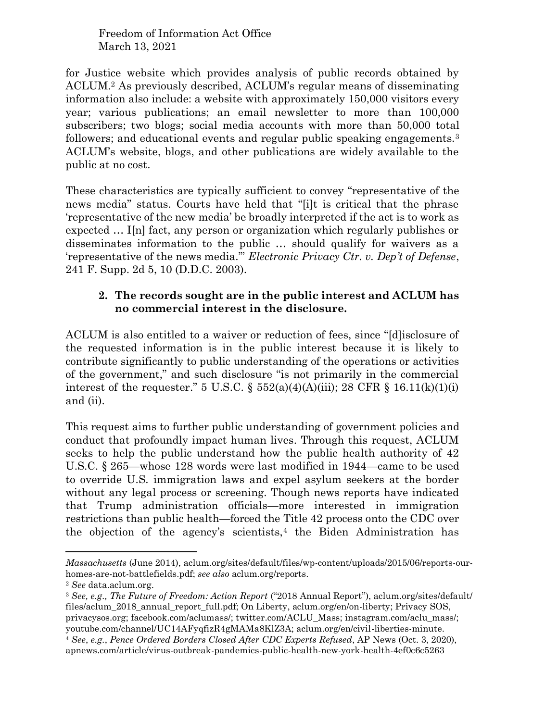for Justice website which provides analysis of public records obtained by ACLUM.<sup>2</sup> As previously described, ACLUM's regular means of disseminating information also include: a website with approximately 150,000 visitors every year; various publications; an email newsletter to more than 100,000 subscribers; two blogs; social media accounts with more than 50,000 total followers; and educational events and regular public speaking engagements.<sup>3</sup> ACLUM's website, blogs, and other publications are widely available to the public at no cost.

These characteristics are typically sufficient to convey "representative of the news media" status. Courts have held that "[i]t is critical that the phrase 'representative of the new media' be broadly interpreted if the act is to work as expected … I[n] fact, any person or organization which regularly publishes or disseminates information to the public … should qualify for waivers as a 'representative of the news media.'" *Electronic Privacy Ctr. v. Dep't of Defense*, 241 F. Supp. 2d 5, 10 (D.D.C. 2003).

### **2. The records sought are in the public interest and ACLUM has no commercial interest in the disclosure.**

ACLUM is also entitled to a waiver or reduction of fees, since "[d]isclosure of the requested information is in the public interest because it is likely to contribute significantly to public understanding of the operations or activities of the government," and such disclosure "is not primarily in the commercial interest of the requester." 5 U.S.C.  $\S$  552(a)(4)(A)(iii); 28 CFR  $\S$  16.11(k)(1)(i) and (ii).

This request aims to further public understanding of government policies and conduct that profoundly impact human lives. Through this request, ACLUM seeks to help the public understand how the public health authority of 42 U.S.C. § 265—whose 128 words were last modified in 1944—came to be used to override U.S. immigration laws and expel asylum seekers at the border without any legal process or screening. Though news reports have indicated that Trump administration officials—more interested in immigration restrictions than public health—forced the Title 42 process onto the CDC over the objection of the agency's scientists,<sup>4</sup> the Biden Administration has

*Massachusetts* (June 2014), aclum.org/sites/default/files/wp-content/uploads/2015/06/reports-ourhomes-are-not-battlefields.pdf; *see also* aclum.org/reports.

<sup>2</sup> *See* data.aclum.org.

<sup>3</sup> *See, e.g., The Future of Freedom: Action Report* ("2018 Annual Report"), aclum.org/sites/default/ files/aclum\_2018\_annual\_report\_full.pdf; On Liberty, aclum.org/en/on-liberty; Privacy SOS, privacysos.org; facebook.com/aclumass/; twitter.com/ACLU\_Mass; instagram.com/aclu\_mass/; youtube.com/channel/UC14AFyqfizR4gMAMa8KlZ3A; aclum.org/en/civil-liberties-minute.

<sup>4</sup> *See*, *e.g.*, *Pence Ordered Borders Closed After CDC Experts Refused*, AP News (Oct. 3, 2020), apnews.com/article/virus-outbreak-pandemics-public-health-new-york-health-4ef0c6c5263